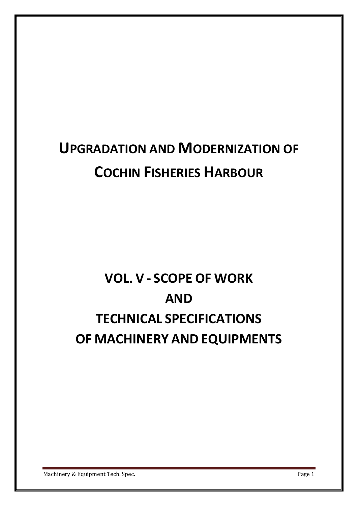# **UPGRADATION AND MODERNIZATION OF COCHIN FISHERIES HARBOUR**

# **VOL. V - SCOPE OF WORK AND TECHNICAL SPECIFICATIONS OF MACHINERY AND EQUIPMENTS**

Machinery & Equipment Tech. Spec. **Page 1**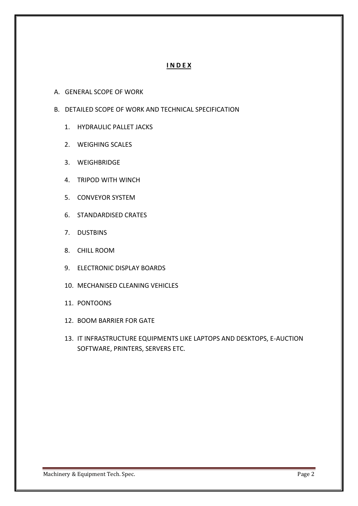# **I N D E X**

- A. GENERAL SCOPE OF WORK
- B. DETAILED SCOPE OF WORK AND TECHNICAL SPECIFICATION
	- 1. HYDRAULIC PALLET JACKS
	- 2. WEIGHING SCALES
	- 3. WEIGHBRIDGE
	- 4. TRIPOD WITH WINCH
	- 5. CONVEYOR SYSTEM
	- 6. STANDARDISED CRATES
	- 7. DUSTBINS
	- 8. CHILL ROOM
	- 9. ELECTRONIC DISPLAY BOARDS
	- 10. MECHANISED CLEANING VEHICLES
	- 11. PONTOONS
	- 12. BOOM BARRIER FOR GATE
	- 13. IT INFRASTRUCTURE EQUIPMENTS LIKE LAPTOPS AND DESKTOPS, E-AUCTION SOFTWARE, PRINTERS, SERVERS ETC.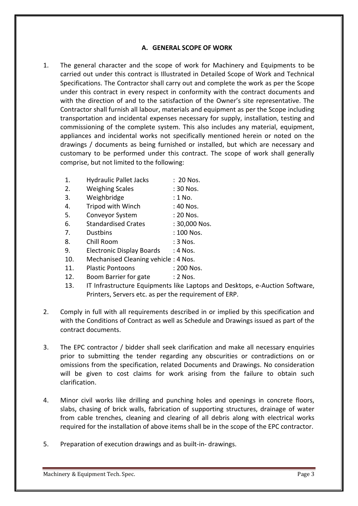#### **A. GENERAL SCOPE OF WORK**

- 1. The general character and the scope of work for Machinery and Equipments to be carried out under this contract is Illustrated in Detailed Scope of Work and Technical Specifications. The Contractor shall carry out and complete the work as per the Scope under this contract in every respect in conformity with the contract documents and with the direction of and to the satisfaction of the Owner's site representative. The Contractor shall furnish all labour, materials and equipment as per the Scope including transportation and incidental expenses necessary for supply, installation, testing and commissioning of the complete system. This also includes any material, equipment, appliances and incidental works not specifically mentioned herein or noted on the drawings / documents as being furnished or installed, but which are necessary and customary to be performed under this contract. The scope of work shall generally comprise, but not limited to the following:
	- 1. Hydraulic Pallet Jacks : 20 Nos.
	- 2. Weighing Scales : 30 Nos.
	- 3. Weighbridge : 1 No.
	- 4. Tripod with Winch : 40 Nos.
	- 5. Conveyor System : 20 Nos.
	- 6. Standardised Crates : 30,000 Nos.
	- 7. Dustbins : 100 Nos.
	- 8. Chill Room : 3 Nos.
	- 9. Electronic Display Boards : 4 Nos.
	- 10. Mechanised Cleaning vehicle : 4 Nos.
	- 11. Plastic Pontoons : 200 Nos.
	- 12. Boom Barrier for gate : 2 Nos.
	- 13. IT Infrastructure Equipments like Laptops and Desktops, e-Auction Software, Printers, Servers etc. as per the requirement of ERP.
- 2. Comply in full with all requirements described in or implied by this specification and with the Conditions of Contract as well as Schedule and Drawings issued as part of the contract documents.
- 3. The EPC contractor / bidder shall seek clarification and make all necessary enquiries prior to submitting the tender regarding any obscurities or contradictions on or omissions from the specification, related Documents and Drawings. No consideration will be given to cost claims for work arising from the failure to obtain such clarification.
- 4. Minor civil works like drilling and punching holes and openings in concrete floors, slabs, chasing of brick walls, fabrication of supporting structures, drainage of water from cable trenches, cleaning and clearing of all debris along with electrical works required for the installation of above items shall be in the scope of the EPC contractor.
- 5. Preparation of execution drawings and as built-in- drawings.

Machinery & Equipment Tech. Spec. **Page 3** Page 3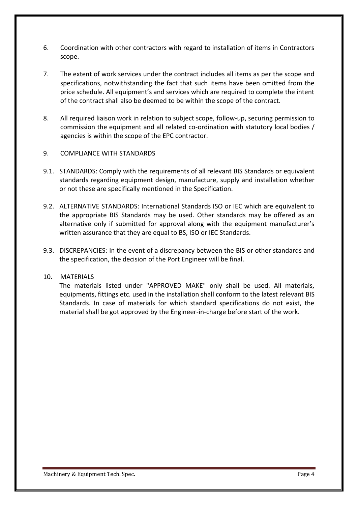- 6. Coordination with other contractors with regard to installation of items in Contractors scope.
- 7. The extent of work services under the contract includes all items as per the scope and specifications, notwithstanding the fact that such items have been omitted from the price schedule. All equipment's and services which are required to complete the intent of the contract shall also be deemed to be within the scope of the contract.
- 8. All required liaison work in relation to subject scope, follow-up, securing permission to commission the equipment and all related co-ordination with statutory local bodies / agencies is within the scope of the EPC contractor.

#### 9. COMPLIANCE WITH STANDARDS

- 9.1. STANDARDS: Comply with the requirements of all relevant BIS Standards or equivalent standards regarding equipment design, manufacture, supply and installation whether or not these are specifically mentioned in the Specification.
- 9.2. ALTERNATIVE STANDARDS: International Standards ISO or IEC which are equivalent to the appropriate BIS Standards may be used. Other standards may be offered as an alternative only if submitted for approval along with the equipment manufacturer's written assurance that they are equal to BS, ISO or IEC Standards.
- 9.3. DISCREPANCIES: In the event of a discrepancy between the BIS or other standards and the specification, the decision of the Port Engineer will be final.

#### 10. MATERIALS

The materials listed under "APPROVED MAKE" only shall be used. All materials, equipments, fittings etc. used in the installation shall conform to the latest relevant BIS Standards. In case of materials for which standard specifications do not exist, the material shall be got approved by the Engineer-in-charge before start of the work.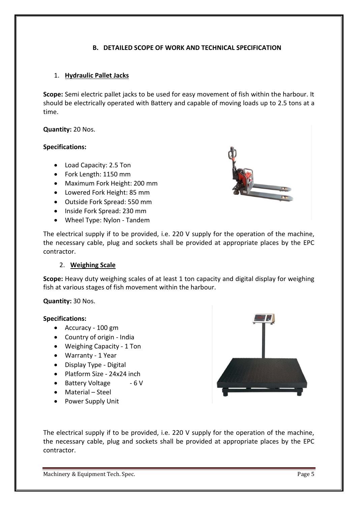## **B. DETAILED SCOPE OF WORK AND TECHNICAL SPECIFICATION**

## 1. **Hydraulic Pallet Jacks**

**Scope:** Semi electric pallet jacks to be used for easy movement of fish within the harbour. It should be electrically operated with Battery and capable of moving loads up to 2.5 tons at a time.

#### **Quantity:** 20 Nos.

#### **Specifications:**

- Load Capacity: 2.5 Ton
- Fork Length: 1150 mm
- Maximum Fork Height: 200 mm
- Lowered Fork Height: 85 mm
- Outside Fork Spread: 550 mm
- Inside Fork Spread: 230 mm
- Wheel Type: Nylon Tandem



#### 2. **Weighing Scale**

**Scope:** Heavy duty weighing scales of at least 1 ton capacity and digital display for weighing fish at various stages of fish movement within the harbour.

#### **Quantity:** 30 Nos.

#### **Specifications:**

- Accuracy 100 gm
- Country of origin India
- Weighing Capacity 1 Ton
- Warranty 1 Year
- Display Type Digital
- Platform Size 24x24 inch
- Battery Voltage 6 V
- Material Steel
- Power Supply Unit



The electrical supply if to be provided, i.e. 220 V supply for the operation of the machine, the necessary cable, plug and sockets shall be provided at appropriate places by the EPC contractor.

Machinery & Equipment Tech. Spec. Page 5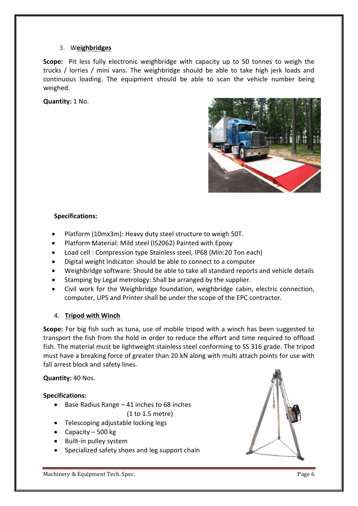## 3. W**eighbridges**

**Scope:** Pit less fully electronic weighbridge with capacity up to 50 tonnes to weigh the trucks / lorries / mini vans. The weighbridge should be able to take high jerk loads and continuous loading. The equipment should be able to scan the vehicle number being weighed.

**Quantity:** 1 No.



## **Specifications:**

- Platform (10mx3m): Heavy duty steel structure to weigh 50T.
- Platform Material: Mild steel (IS2062) Painted with Epoxy
- Load cell : Compression type Stainless steel, IP68 (Min:20 Ton each)
- Digital weight Indicator: should be able to connect to a computer
- Weighbridge software: Should be able to take all standard reports and vehicle details
- Stamping by Legal metrology: Shall be arranged by the supplier.
- Civil work for the Weighbridge foundation, weighbridge cabin, electric connection, computer, UPS and Printer shall be under the scope of the EPC contractor.

## 4. **Tripod with Winch**

**Scope:** For big fish such as tuna, use of mobile tripod with a winch has been suggested to transport the fish from the hold in order to reduce the effort and time required to offload fish. The material must be lightweight stainless steel conforming to SS 316 grade. The tripod must have a breaking force of greater than 20 kN along with multi attach points for use with fall arrest block and safety lines.

## **Quantity:** 40 Nos.

## **Specifications:**

 $\bullet$  Base Radius Range – 41 inches to 68 inches

(1 to 1.5 metre)

- Telescoping adjustable locking legs
- Capacity 500 kg
- Built-in pulley system
- Specialized safety shoes and leg support chain

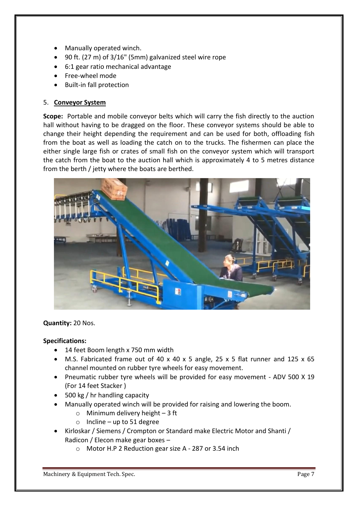- Manually operated winch.
- 90 ft. (27 m) of 3/16" (5mm) galvanized steel wire rope
- 6:1 gear ratio mechanical advantage
- Free-wheel mode
- Built-in fall protection

## 5. **Conveyor System**

**Scope:** Portable and mobile conveyor belts which will carry the fish directly to the auction hall without having to be dragged on the floor. These conveyor systems should be able to change their height depending the requirement and can be used for both, offloading fish from the boat as well as loading the catch on to the trucks. The fishermen can place the either single large fish or crates of small fish on the conveyor system which will transport the catch from the boat to the auction hall which is approximately 4 to 5 metres distance from the berth / jetty where the boats are berthed.



#### **Quantity:** 20 Nos.

#### **Specifications:**

- 14 feet Boom length x 750 mm width
- M.S. Fabricated frame out of 40 x 40 x 5 angle, 25 x 5 flat runner and 125 x 65 channel mounted on rubber tyre wheels for easy movement.
- Pneumatic rubber tyre wheels will be provided for easy movement ADV 500 X 19 (For 14 feet Stacker )
- 500 kg / hr handling capacity
- Manually operated winch will be provided for raising and lowering the boom.
	- $\circ$  Minimum delivery height 3 ft
	- $\circ$  Incline up to 51 degree
- Kirloskar / Siemens / Crompton or Standard make Electric Motor and Shanti / Radicon / Elecon make gear boxes –
	- o Motor H.P 2 Reduction gear size A 287 or 3.54 inch

Machinery & Equipment Tech. Spec. Page 7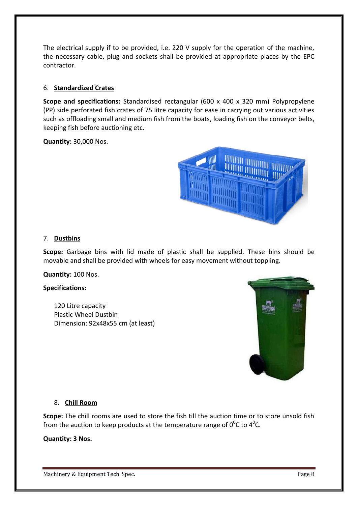The electrical supply if to be provided, i.e. 220 V supply for the operation of the machine, the necessary cable, plug and sockets shall be provided at appropriate places by the EPC contractor.

## 6. **Standardized Crates**

**Scope and specifications:** Standardised rectangular (600 x 400 x 320 mm) Polypropylene (PP) side perforated fish crates of 75 litre capacity for ease in carrying out various activities such as offloading small and medium fish from the boats, loading fish on the conveyor belts, keeping fish before auctioning etc.

**Quantity:** 30,000 Nos.



## 7. **Dustbins**

**Scope:** Garbage bins with lid made of plastic shall be supplied. These bins should be movable and shall be provided with wheels for easy movement without toppling.

**Quantity:** 100 Nos.

#### **Specifications:**

120 Litre capacity Plastic Wheel Dustbin Dimension: 92x48x55 cm (at least)



## 8. **Chill Room**

**Scope:** The chill rooms are used to store the fish till the auction time or to store unsold fish from the auction to keep products at the temperature range of  $0^0$ C to 4<sup>0</sup>C.

**Quantity: 3 Nos.**

Machinery & Equipment Tech. Spec. **Page 8** Page 8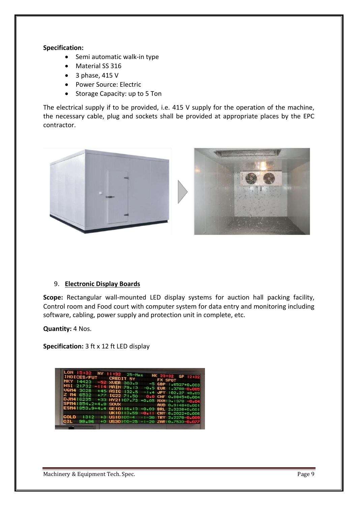#### **Specification:**

- Semi automatic walk-in type
- Material SS 316
- $\bullet$  3 phase, 415 V
- Power Source: Electric
- Storage Capacity: up to 5 Ton

The electrical supply if to be provided, i.e. 415 V supply for the operation of the machine, the necessary cable, plug and sockets shall be provided at appropriate places by the EPC contractor.



#### 9. **Electronic Display Boards**

**Scope:** Rectangular wall-mounted LED display systems for auction hall packing facility, Control room and Food court with computer system for data entry and monitoring including software, cabling, power supply and protection unit in complete, etc.

**Quantity:** 4 Nos.

**Specification:** 3 ft x 12 ft LED display

|                       | LON 15:32 NY 11:32 25-Mar                            |                                    |
|-----------------------|------------------------------------------------------|------------------------------------|
| INDICES/FUT CREDIT 5Y |                                                      | HK 23:32 SP 12:32                  |
| NKY 14423             | -52 XVER 303.9                                       | FX SPOT<br>$-5$ GBP $1.6527+0.003$ |
| HSI 21732             | $-114$ MAIN 79.13                                    | $-0.5$ EUR $1.3788 - 0.005$        |
|                       | UGM4 3028 +45 ASIC 132.5                             | $-1.4$ JPY 102.27 +0.03            |
|                       | Z M4 6532 +77 IG22 71.50<br>DJM416235 +33 HY21107.73 | 0.0 CHF 0.8845+0.004               |
| SPN41854.2+4.8 SOUX   |                                                      | $+0.05$ MXN13.1370 $-0.04$         |
|                       | ESM41853.9+4.4 GE10116.13 +0.03 BRL 2.3238+0.001     | AUD 0.9148+0.001                   |
|                       | UK10113.59 -0.11 CNY 8.2022+0.006                    |                                    |
| GOLD<br>1312          | +3 US10100-4 -1-30 TRY 2.2278-0.009                  |                                    |
| 99.96                 | +0 US30100-25 -1-20 ZAR10.7533-0.077                 |                                    |
|                       |                                                      |                                    |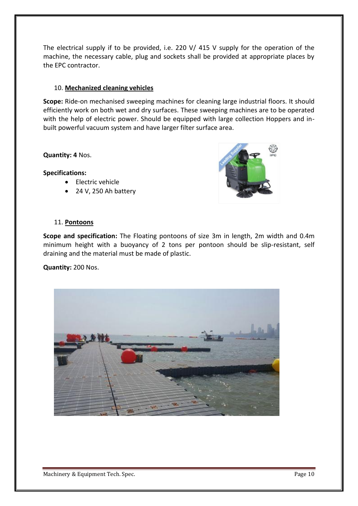The electrical supply if to be provided, i.e. 220 V/ 415 V supply for the operation of the machine, the necessary cable, plug and sockets shall be provided at appropriate places by the EPC contractor.

## 10. **Mechanized cleaning vehicles**

**Scope:** Ride-on mechanised sweeping machines for cleaning large industrial floors. It should efficiently work on both wet and dry surfaces. These sweeping machines are to be operated with the help of electric power. Should be equipped with large collection Hoppers and inbuilt powerful vacuum system and have larger filter surface area.

#### **Quantity: 4** Nos.

## **Specifications:**

- Electric vehicle
- 24 V, 250 Ah battery



## 11. **Pontoons**

**Scope and specification:** The Floating pontoons of size 3m in length, 2m width and 0.4m minimum height with a buoyancy of 2 tons per pontoon should be slip-resistant, self draining and the material must be made of plastic.

#### **Quantity:** 200 Nos.



Machinery & Equipment Tech. Spec. **Page 10** Page 10